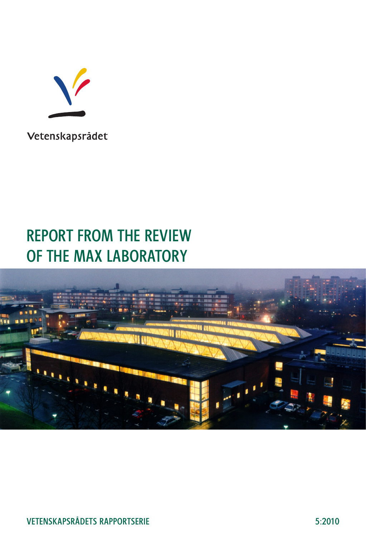

Vetenskapsrådet

### REPORT FROM THE REVIEW OF THE MAX LABORATORY

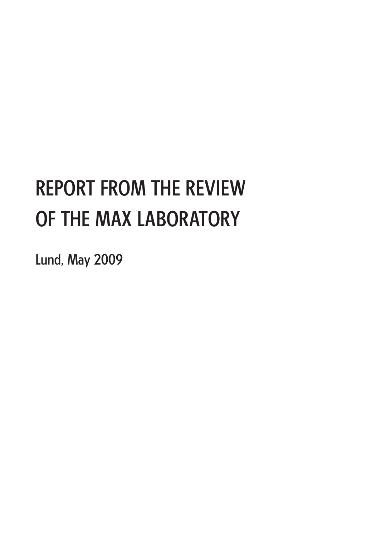# REPORT FROM THE REVIEW OF THE MAX LABORATORY

Lund, May 2009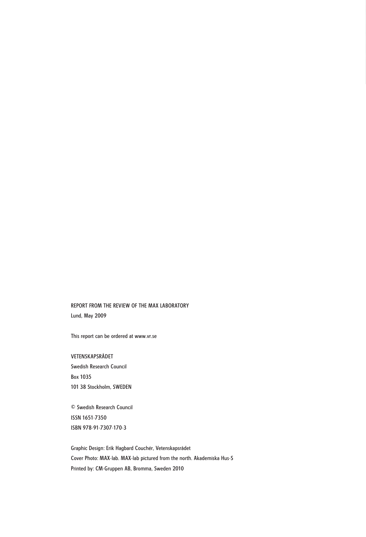#### REPORT FROM THE REVIEW OF THE MAX LABORATORY Lund, May 2009

This report can be ordered at www.vr.se

VETENSKAPSRÅDET Swedish Research Council Box 1035 101 38 Stockholm, SWEDEN

© Swedish Research Council ISSN 1651-7350 ISBN 978-91-7307-170-3

Graphic Design: Erik Hagbard Couchér, Vetenskapsrådet Cover Photo: MAX-lab. MAX-lab pictured from the north. Akademiska Hus-S Printed by: CM-Gruppen AB, Bromma, Sweden 2010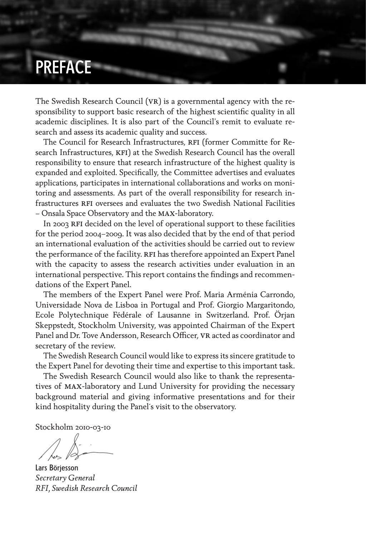## PREFACE

The Swedish Research Council (VR) is a governmental agency with the responsibility to support basic research of the highest scientific quality in all academic disciplines. It is also part of the Council's remit to evaluate research and assess its academic quality and success.

The Council for Research Infrastructures, RFI (former Committe for Research Infrastructures, KFI) at the Swedish Research Council has the overall responsibility to ensure that research infrastructure of the highest quality is expanded and exploited. Specifically, the Committee advertises and evaluates applications, participates in international collaborations and works on monitoring and assessments. As part of the overall responsibility for research infrastructures rfi oversees and evaluates the two Swedish National Facilities – Onsala Space Observatory and the max-laboratory.

In 2003 RFI decided on the level of operational support to these facilities for the period 2004–2009. It was also decided that by the end of that period an international evaluation of the activities should be carried out to review the performance of the facility. RFI has therefore appointed an Expert Panel with the capacity to assess the research activities under evaluation in an international perspective. This report contains the findings and recommendations of the Expert Panel.

The members of the Expert Panel were Prof. Maria Arménia Carrondo, Universidade Nova de Lisboa in Portugal and Prof. Giorgio Margaritondo, Ecole Polytechnique Fédérale of Lausanne in Switzerland. Prof. Örjan Skeppstedt, Stockholm University, was appointed Chairman of the Expert Panel and Dr. Tove Andersson, Research Officer, VR acted as coordinator and secretary of the review.

The Swedish Research Council would like to express its sincere gratitude to the Expert Panel for devoting their time and expertise to this important task.

The Swedish Research Council would also like to thank the representatives of max-laboratory and Lund University for providing the necessary background material and giving informative presentations and for their kind hospitality during the Panel´s visit to the observatory.

Stockholm 2010-03-10

Lars Börjesson *Secretary General RFI, Swedish Research Council*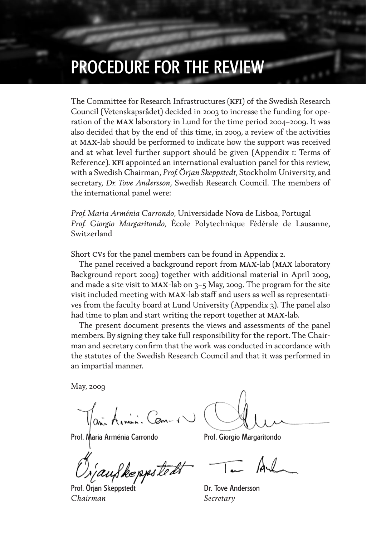### PROCEDURE FOR THE REVIEW

The Committee for Research Infrastructures (KFI) of the Swedish Research Council (Vetenskapsrådet) decided in 2003 to increase the funding for operation of the max laboratory in Lund for the time period 2004–2009. It was also decided that by the end of this time, in 2009, a review of the activities at max-lab should be performed to indicate how the support was received and at what level further support should be given (Appendix 1: Terms of Reference). KFI appointed an international evaluation panel for this review, with a Swedish Chairman, *Prof. Örjan Skeppstedt*, Stockholm University, and secretary, *Dr. Tove Andersson*, Swedish Research Council. The members of the international panel were:

*Prof. Maria Arménia Carrondo*, Universidade Nova de Lisboa, Portugal *Prof. Giorgio Margaritondo*, École Polytechnique Fédérale de Lausanne, Switzerland

Short cvs for the panel members can be found in Appendix 2.

The panel received a background report from max-lab (max laboratory Background report 2009) together with additional material in April 2009, and made a site visit to MAX-lab on  $3-5$  May, 2009. The program for the site visit included meeting with max-lab staff and users as well as representatives from the faculty board at Lund University (Appendix 3). The panel also had time to plan and start writing the report together at max-lab.

The present document presents the views and assessments of the panel members. By signing they take full responsibility for the report. The Chairman and secretary confirm that the work was conducted in accordance with the statutes of the Swedish Research Council and that it was performed in an impartial manner.

May, 2009

 $\mathbb{U}_{\alpha}$  Amin. Com-1

Prof. Maria Arménia Carrondo Prof. Giorgio Margaritondo

Reppstedt

Prof. Örjan Skeppstedt Dr. Tove Andersson *Chairman Secretary*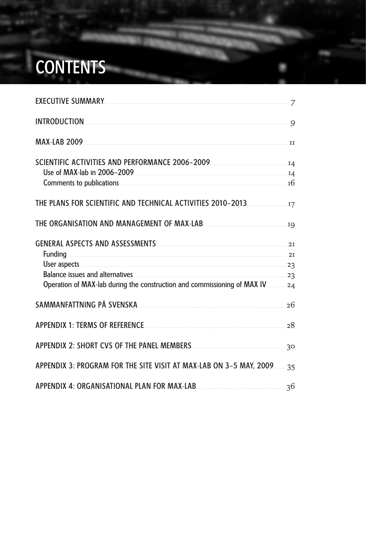# **CONTENTS**

| EXECUTIVE SUMMARY                                                         |  |
|---------------------------------------------------------------------------|--|
| INTRODUCTION 0                                                            |  |
| MAX-LAB 2009                                                              |  |
| SCIENTIFIC ACTIVITIES AND PERFORMANCE 2006-2009 <b>Manual Activity 12</b> |  |
|                                                                           |  |
|                                                                           |  |
|                                                                           |  |
|                                                                           |  |
| GENERAL ASPECTS AND ASSESSMENTS MANUSCRIPTION AND 21<br><b>Funding</b> 21 |  |
| User aspects 23                                                           |  |
|                                                                           |  |
|                                                                           |  |
| SAMMANFATTNING PÅ SVENSKA                                                 |  |
| APPENDIX 1: TERMS OF REFERENCE 28                                         |  |
|                                                                           |  |
| APPENDIX 3: PROGRAM FOR THE SITE VISIT AT MAX-LAB ON 3-5 MAY, 200935      |  |
| APPENDIX 4: ORGANISATIONAL PLAN FOR MAX-LAB                               |  |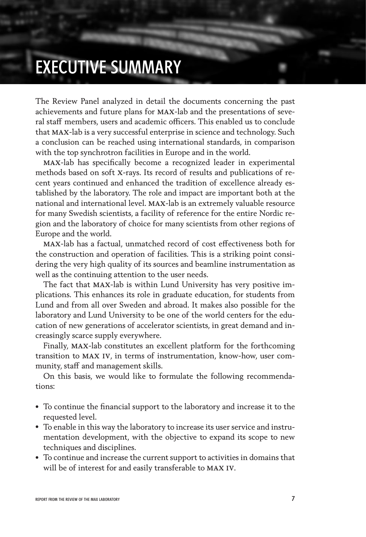## EXECUTIVE SUMMARY

The Review Panel analyzed in detail the documents concerning the past achievements and future plans for max-lab and the presentations of several staff members, users and academic officers. This enabled us to conclude that max-lab is a very successful enterprise in science and technology. Such a conclusion can be reached using international standards, in comparison with the top synchrotron facilities in Europe and in the world.

max-lab has specifically become a recognized leader in experimental methods based on soft x-rays. Its record of results and publications of recent years continued and enhanced the tradition of excellence already established by the laboratory. The role and impact are important both at the national and international level. max-lab is an extremely valuable resource for many Swedish scientists, a facility of reference for the entire Nordic region and the laboratory of choice for many scientists from other regions of Europe and the world.

max-lab has a factual, unmatched record of cost effectiveness both for the construction and operation of facilities. This is a striking point considering the very high quality of its sources and beamline instrumentation as well as the continuing attention to the user needs.

The fact that max-lab is within Lund University has very positive implications. This enhances its role in graduate education, for students from Lund and from all over Sweden and abroad. It makes also possible for the laboratory and Lund University to be one of the world centers for the education of new generations of accelerator scientists, in great demand and increasingly scarce supply everywhere.

Finally, max-lab constitutes an excellent platform for the forthcoming transition to max iv, in terms of instrumentation, know-how, user community, staff and management skills.

On this basis, we would like to formulate the following recommendations:

- To continue the financial support to the laboratory and increase it to the requested level.
- To enable in this way the laboratory to increase its user service and instrumentation development, with the objective to expand its scope to new techniques and disciplines.
- To continue and increase the current support to activities in domains that will be of interest for and easily transferable to max iv.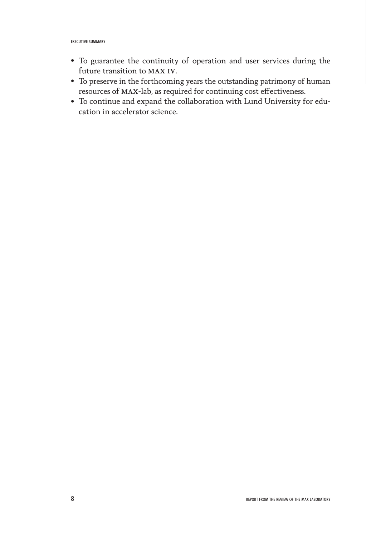- To guarantee the continuity of operation and user services during the future transition to max iv.
- To preserve in the forthcoming years the outstanding patrimony of human resources of max-lab, as required for continuing cost effectiveness.
- To continue and expand the collaboration with Lund University for education in accelerator science.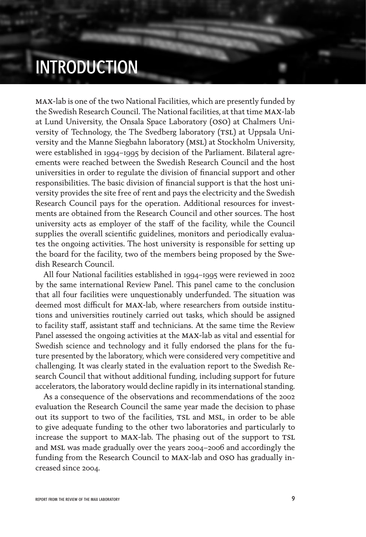### INTRODUCTION

max-lab is one of the two National Facilities, which are presently funded by the Swedish Research Council. The National facilities, at that time max-lab at Lund University, the Onsala Space Laboratory (oso) at Chalmers University of Technology, the The Svedberg laboratory (TSL) at Uppsala University and the Manne Siegbahn laboratory (MSL) at Stockholm University, were established in 1994–1995 by decision of the Parliament. Bilateral agreements were reached between the Swedish Research Council and the host universities in order to regulate the division of financial support and other responsibilities. The basic division of financial support is that the host university provides the site free of rent and pays the electricity and the Swedish Research Council pays for the operation. Additional resources for investments are obtained from the Research Council and other sources. The host university acts as employer of the staff of the facility, while the Council supplies the overall scientific guidelines, monitors and periodically evaluates the ongoing activities. The host university is responsible for setting up the board for the facility, two of the members being proposed by the Swedish Research Council.

All four National facilities established in 1994–1995 were reviewed in 2002 by the same international Review Panel. This panel came to the conclusion that all four facilities were unquestionably underfunded. The situation was deemed most difficult for max-lab, where researchers from outside institutions and universities routinely carried out tasks, which should be assigned to facility staff, assistant staff and technicians. At the same time the Review Panel assessed the ongoing activities at the max-lab as vital and essential for Swedish science and technology and it fully endorsed the plans for the future presented by the laboratory, which were considered very competitive and challenging. It was clearly stated in the evaluation report to the Swedish Research Council that without additional funding, including support for future accelerators, the laboratory would decline rapidly in its international standing.

As a consequence of the observations and recommendations of the 2002 evaluation the Research Council the same year made the decision to phase out its support to two of the facilities, TSL and MSL, in order to be able to give adequate funding to the other two laboratories and particularly to increase the support to MAX-lab. The phasing out of the support to TSL and MSL was made gradually over the years 2004–2006 and accordingly the funding from the Research Council to max-lab and oso has gradually increased since 2004.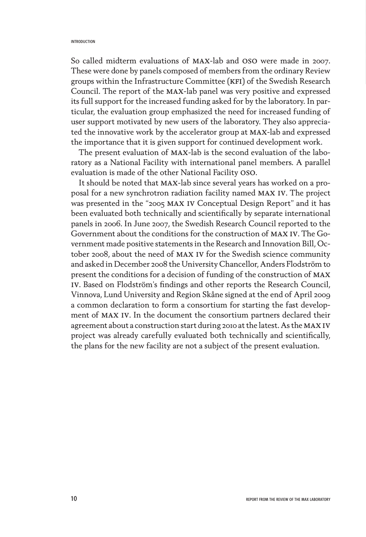#### INTRODUCTION

So called midterm evaluations of max-lab and oso were made in 2007. These were done by panels composed of members from the ordinary Review groups within the Infrastructure Committee (kfi) of the Swedish Research Council. The report of the max-lab panel was very positive and expressed its full support for the increased funding asked for by the laboratory. In particular, the evaluation group emphasized the need for increased funding of user support motivated by new users of the laboratory. They also appreciated the innovative work by the accelerator group at max-lab and expressed the importance that it is given support for continued development work.

The present evaluation of max-lab is the second evaluation of the laboratory as a National Facility with international panel members. A parallel evaluation is made of the other National Facility oso.

It should be noted that max-lab since several years has worked on a proposal for a new synchrotron radiation facility named max iv. The project was presented in the "2005 max iv Conceptual Design Report" and it has been evaluated both technically and scientifically by separate international panels in 2006. In June 2007, the Swedish Research Council reported to the Government about the conditions for the construction of max iv. The Government made positive statements in the Research and Innovation Bill, October 2008, about the need of max iv for the Swedish science community and asked in December 2008 the University Chancellor, Anders Flodström to present the conditions for a decision of funding of the construction of max iv. Based on Flodström's findings and other reports the Research Council, Vinnova, Lund University and Region Skåne signed at the end of April 2009 a common declaration to form a consortium for starting the fast development of max iv. In the document the consortium partners declared their agreement about a construction start during 2010 at the latest. As the MAX IV project was already carefully evaluated both technically and scientifically, the plans for the new facility are not a subject of the present evaluation.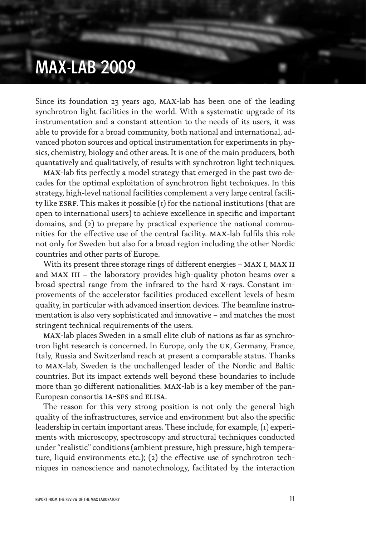### MAX-LAB 2009

Since its foundation 23 years ago, max-lab has been one of the leading synchrotron light facilities in the world. With a systematic upgrade of its instrumentation and a constant attention to the needs of its users, it was able to provide for a broad community, both national and international, advanced photon sources and optical instrumentation for experiments in physics, chemistry, biology and other areas. It is one of the main producers, both quantatively and qualitatively, of results with synchrotron light techniques.

max-lab fits perfectly a model strategy that emerged in the past two decades for the optimal exploitation of synchrotron light techniques. In this strategy, high-level national facilities complement a very large central facility like ESRF. This makes it possible  $(i)$  for the national institutions (that are open to international users) to achieve excellence in specific and important domains, and (2) to prepare by practical experience the national communities for the effective use of the central facility. max-lab fulfils this role not only for Sweden but also for a broad region including the other Nordic countries and other parts of Europe.

With its present three storage rings of different energies – MAX I, MAX II and MAX III – the laboratory provides high-quality photon beams over a broad spectral range from the infrared to the hard x-rays. Constant improvements of the accelerator facilities produced excellent levels of beam quality, in particular with advanced insertion devices. The beamline instrumentation is also very sophisticated and innovative – and matches the most stringent technical requirements of the users.

max-lab places Sweden in a small elite club of nations as far as synchrotron light research is concerned. In Europe, only the uk, Germany, France, Italy, Russia and Switzerland reach at present a comparable status. Thanks to max-lab, Sweden is the unchallenged leader of the Nordic and Baltic countries. But its impact extends well beyond these boundaries to include more than 30 different nationalities. max-lab is a key member of the pan-European consortia IA-SFS and ELISA.

The reason for this very strong position is not only the general high quality of the infrastructures, service and environment but also the specific leadership in certain important areas. These include, for example, (1) experiments with microscopy, spectroscopy and structural techniques conducted under "realistic" conditions (ambient pressure, high pressure, high temperature, liquid environments etc.); (2) the effective use of synchrotron techniques in nanoscience and nanotechnology, facilitated by the interaction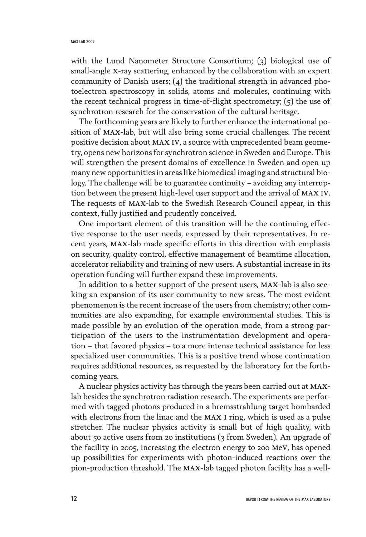with the Lund Nanometer Structure Consortium; (3) biological use of small-angle x-ray scattering, enhanced by the collaboration with an expert community of Danish users; (4) the traditional strength in advanced photoelectron spectroscopy in solids, atoms and molecules, continuing with the recent technical progress in time-of-flight spectrometry;  $(5)$  the use of synchrotron research for the conservation of the cultural heritage.

The forthcoming years are likely to further enhance the international position of max-lab, but will also bring some crucial challenges. The recent positive decision about max iv, a source with unprecedented beam geometry, opens new horizons for synchrotron science in Sweden and Europe. This will strengthen the present domains of excellence in Sweden and open up many new opportunities in areas like biomedical imaging and structural biology. The challenge will be to guarantee continuity – avoiding any interruption between the present high-level user support and the arrival of max iv. The requests of max-lab to the Swedish Research Council appear, in this context, fully justified and prudently conceived.

One important element of this transition will be the continuing effective response to the user needs, expressed by their representatives. In recent years, max-lab made specific efforts in this direction with emphasis on security, quality control, effective management of beamtime allocation, accelerator reliability and training of new users. A substantial increase in its operation funding will further expand these improvements.

In addition to a better support of the present users, max-lab is also seeking an expansion of its user community to new areas. The most evident phenomenon is the recent increase of the users from chemistry; other communities are also expanding, for example environmental studies. This is made possible by an evolution of the operation mode, from a strong participation of the users to the instrumentation development and operation – that favored physics – to a more intense technical assistance for less specialized user communities. This is a positive trend whose continuation requires additional resources, as requested by the laboratory for the forthcoming years.

A nuclear physics activity has through the years been carried out at maxlab besides the synchrotron radiation research. The experiments are performed with tagged photons produced in a bremsstrahlung target bombarded with electrons from the linac and the MAX I ring, which is used as a pulse stretcher. The nuclear physics activity is small but of high quality, with about 50 active users from 20 institutions (3 from Sweden). An upgrade of the facility in 2005, increasing the electron energy to 200 mev, has opened up possibilities for experiments with photon-induced reactions over the pion-production threshold. The max-lab tagged photon facility has a well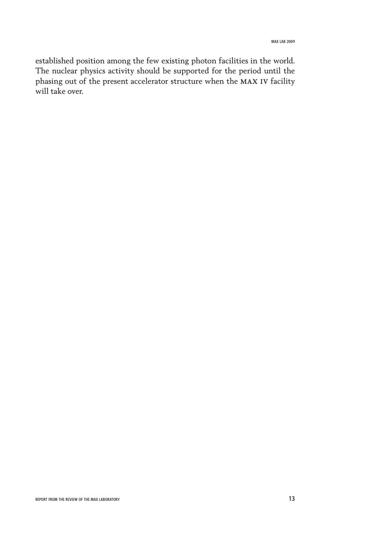established position among the few existing photon facilities in the world. The nuclear physics activity should be supported for the period until the phasing out of the present accelerator structure when the max iv facility will take over.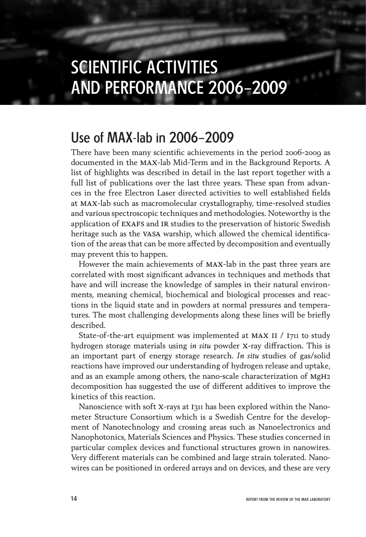### SCIENTIFIC ACTIVITIES AND PERFORMANCE 2006–2009

### Use of MAX-lab in 2006–2009

There have been many scientific achievements in the period 2006-2009 as documented in the max-lab Mid-Term and in the Background Reports. A list of highlights was described in detail in the last report together with a full list of publications over the last three years. These span from advances in the free Electron Laser directed activities to well established fields at max-lab such as macromolecular crystallography, time-resolved studies and various spectroscopic techniques and methodologies. Noteworthy is the application of EXAFS and IR studies to the preservation of historic Swedish heritage such as the VASA warship, which allowed the chemical identification of the areas that can be more affected by decomposition and eventually may prevent this to happen.

However the main achievements of max-lab in the past three years are correlated with most significant advances in techniques and methods that have and will increase the knowledge of samples in their natural environments, meaning chemical, biochemical and biological processes and reactions in the liquid state and in powders at normal pressures and temperatures. The most challenging developments along these lines will be briefly described.

State-of-the-art equipment was implemented at MAX II / I711 to study hydrogen storage materials using *in situ* powder x-ray diffraction. This is an important part of energy storage research. *In situ* studies of gas/solid reactions have improved our understanding of hydrogen release and uptake, and as an example among others, the nano-scale characterization of MgH2 decomposition has suggested the use of different additives to improve the kinetics of this reaction.

Nanoscience with soft X-rays at I311 has been explored within the Nanometer Structure Consortium which is a Swedish Centre for the development of Nanotechnology and crossing areas such as Nanoelectronics and Nanophotonics, Materials Sciences and Physics. These studies concerned in particular complex devices and functional structures grown in nanowires. Very different materials can be combined and large strain tolerated. Nanowires can be positioned in ordered arrays and on devices, and these are very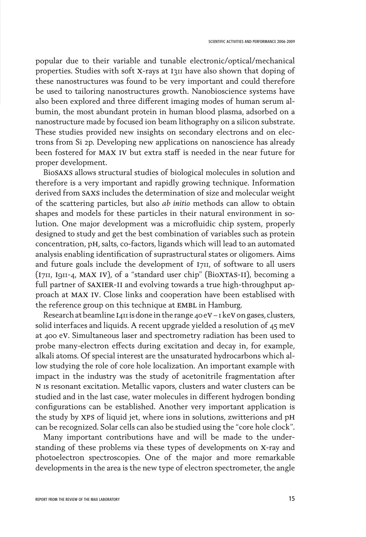popular due to their variable and tunable electronic/optical/mechanical properties. Studies with soft X-rays at I311 have also shown that doping of these nanostructures was found to be very important and could therefore be used to tailoring nanostructures growth. Nanobioscience systems have also been explored and three different imaging modes of human serum albumin, the most abundant protein in human blood plasma, adsorbed on a nanostructure made by focused ion beam lithography on a silicon substrate. These studies provided new insights on secondary electrons and on electrons from Si 2p. Developing new applications on nanoscience has already been fostered for max iv but extra staff is needed in the near future for proper development.

Biosaxs allows structural studies of biological molecules in solution and therefore is a very important and rapidly growing technique. Information derived from saxs includes the determination of size and molecular weight of the scattering particles, but also *ab initio* methods can allow to obtain shapes and models for these particles in their natural environment in solution. One major development was a microfluidic chip system, properly designed to study and get the best combination of variables such as protein concentration, ph, salts, co-factors, ligands which will lead to an automated analysis enabling identification of suprastructural states or oligomers. Aims and future goals include the development of 1711, of software to all users (i711, i911-4, max iv), of a "standard user chip" (Bioxtas-ii), becoming a full partner of SAXIER-II and evolving towards a true high-throughput approach at max iv. Close links and cooperation have been establised with the reference group on this technique at EMBL in Hamburg.

Research at beamline  $I$ 411 is done in the range 40 eV – 1 keV on gases, clusters, solid interfaces and liquids. A recent upgrade yielded a resolution of  $45 \text{ meV}$ at 400 ev. Simultaneous laser and spectrometry radiation has been used to probe many-electron effects during excitation and decay in, for example, alkali atoms. Of special interest are the unsaturated hydrocarbons which allow studying the role of core hole localization. An important example with impact in the industry was the study of acetonitrile fragmentation after n 1s resonant excitation. Metallic vapors, clusters and water clusters can be studied and in the last case, water molecules in different hydrogen bonding configurations can be established. Another very important application is the study by xps of liquid jet, where ions in solutions, zwitterions and ph can be recognized. Solar cells can also be studied using the "core hole clock".

Many important contributions have and will be made to the understanding of these problems via these types of developments on x-ray and photoelectron spectroscopies. One of the major and more remarkable developments in the area is the new type of electron spectrometer, the angle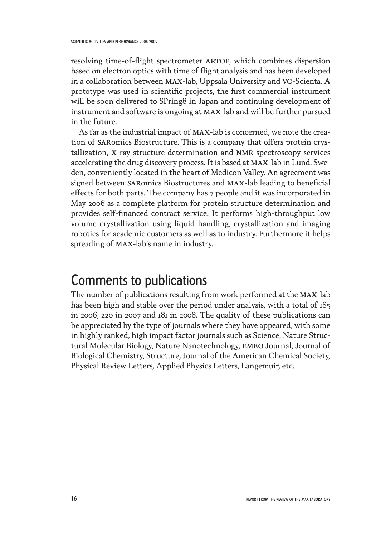resolving time-of-flight spectrometer ARTOF, which combines dispersion based on electron optics with time of flight analysis and has been developed in a collaboration between max-lab, Uppsala University and vg-Scienta. A prototype was used in scientific projects, the first commercial instrument will be soon delivered to SPring8 in Japan and continuing development of instrument and software is ongoing at max-lab and will be further pursued in the future.

As far as the industrial impact of max-lab is concerned, we note the creation of SARomics Biostructure. This is a company that offers protein crystallization, x-ray structure determination and nmr spectroscopy services accelerating the drug discovery process. It is based at max-lab in Lund, Sweden, conveniently located in the heart of Medicon Valley. An agreement was signed between SARomics Biostructures and MAX-lab leading to beneficial effects for both parts. The company has 7 people and it was incorporated in May 2006 as a complete platform for protein structure determination and provides self-financed contract service. It performs high-throughput low volume crystallization using liquid handling, crystallization and imaging robotics for academic customers as well as to industry. Furthermore it helps spreading of max-lab's name in industry.

### Comments to publications

The number of publications resulting from work performed at the max-lab has been high and stable over the period under analysis, with a total of 185 in 2006, 220 in 2007 and 181 in 2008. The quality of these publications can be appreciated by the type of journals where they have appeared, with some in highly ranked, high impact factor journals such as Science, Nature Structural Molecular Biology, Nature Nanotechnology, EMBO Journal, Journal of Biological Chemistry, Structure, Journal of the American Chemical Society, Physical Review Letters, Applied Physics Letters, Langemuir, etc.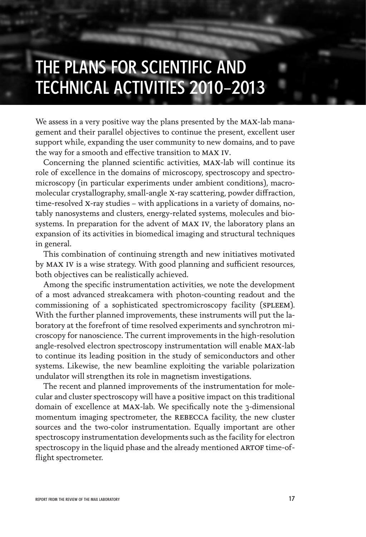## THE PLANS FOR SCIENTIFIC AND TECHNICAL ACTIVITIES 2010–2013

We assess in a very positive way the plans presented by the MAX-lab management and their parallel objectives to continue the present, excellent user support while, expanding the user community to new domains, and to pave the way for a smooth and effective transition to max iv.

Concerning the planned scientific activities, max-lab will continue its role of excellence in the domains of microscopy, spectroscopy and spectromicroscopy (in particular experiments under ambient conditions), macromolecular crystallography, small-angle x-ray scattering, powder diffraction, time-resolved x-ray studies – with applications in a variety of domains, notably nanosystems and clusters, energy-related systems, molecules and biosystems. In preparation for the advent of max iv, the laboratory plans an expansion of its activities in biomedical imaging and structural techniques in general.

This combination of continuing strength and new initiatives motivated by max iv is a wise strategy. With good planning and sufficient resources, both objectives can be realistically achieved.

Among the specific instrumentation activities, we note the development of a most advanced streakcamera with photon-counting readout and the commissioning of a sophisticated spectromicroscopy facility (SPLEEM). With the further planned improvements, these instruments will put the laboratory at the forefront of time resolved experiments and synchrotron microscopy for nanoscience. The current improvements in the high-resolution angle-resolved electron spectroscopy instrumentation will enable max-lab to continue its leading position in the study of semiconductors and other systems. Likewise, the new beamline exploiting the variable polarization undulator will strengthen its role in magnetism investigations.

The recent and planned improvements of the instrumentation for molecular and cluster spectroscopy will have a positive impact on this traditional domain of excellence at max-lab. We specifically note the 3-dimensional momentum imaging spectrometer, the REBECCA facility, the new cluster sources and the two-color instrumentation. Equally important are other spectroscopy instrumentation developments such as the facility for electron spectroscopy in the liquid phase and the already mentioned ARTOF time-offlight spectrometer.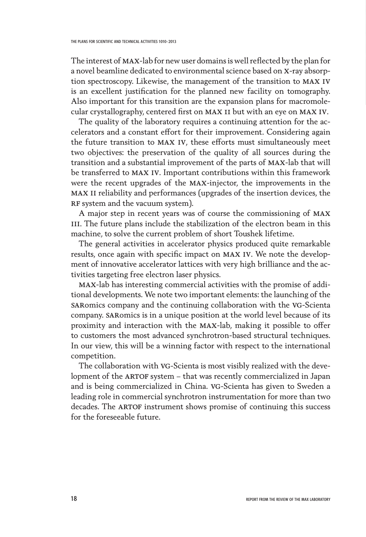The interest of max-lab for new user domains is well reflected by the plan for a novel beamline dedicated to environmental science based on x-ray absorption spectroscopy. Likewise, the management of the transition to max iv is an excellent justification for the planned new facility on tomography. Also important for this transition are the expansion plans for macromolecular crystallography, centered first on max 11 but with an eye on max iv.

The quality of the laboratory requires a continuing attention for the accelerators and a constant effort for their improvement. Considering again the future transition to max iv, these efforts must simultaneously meet two objectives: the preservation of the quality of all sources during the transition and a substantial improvement of the parts of max-lab that will be transferred to max iv. Important contributions within this framework were the recent upgrades of the max-injector, the improvements in the max ii reliability and performances (upgrades of the insertion devices, the RF system and the vacuum system).

A major step in recent years was of course the commissioning of max III. The future plans include the stabilization of the electron beam in this machine, to solve the current problem of short Toushek lifetime.

The general activities in accelerator physics produced quite remarkable results, once again with specific impact on max iv. We note the development of innovative accelerator lattices with very high brilliance and the activities targeting free electron laser physics.

max-lab has interesting commercial activities with the promise of additional developments. We note two important elements: the launching of the saRomics company and the continuing collaboration with the VG-Scienta company. SARomics is in a unique position at the world level because of its proximity and interaction with the max-lab, making it possible to offer to customers the most advanced synchrotron-based structural techniques. In our view, this will be a winning factor with respect to the international competition.

The collaboration with vg-Scienta is most visibly realized with the development of the ARTOF system - that was recently commercialized in Japan and is being commercialized in China. vg-Scienta has given to Sweden a leading role in commercial synchrotron instrumentation for more than two decades. The ARTOF instrument shows promise of continuing this success for the foreseeable future.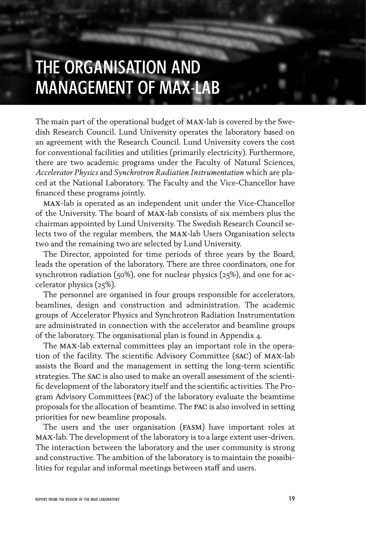### THE ORGANISATION AND MANAGEMENT OF MAX-LAB

The main part of the operational budget of max-lab is covered by the Swedish Research Council. Lund University operates the laboratory based on an agreement with the Research Council. Lund University covers the cost for conventional facilities and utilities (primarily electricity). Furthermore, there are two academic programs under the Faculty of Natural Sciences, *Accelerator Physics* and *Synchrotron Radiation Instrumentation* which are placed at the National Laboratory. The Faculty and the Vice-Chancellor have financed these programs jointly.

max-lab is operated as an independent unit under the Vice-Chancellor of the University. The board of max-lab consists of six members plus the chairman appointed by Lund University. The Swedish Research Council selects two of the regular members, the max-lab Users Organisation selects two and the remaining two are selected by Lund University.

The Director, appointed for time periods of three years by the Board, leads the operation of the laboratory. There are three coordinators, one for synchrotron radiation (50%), one for nuclear physics (25%), and one for accelerator physics (25%).

The personnel are organised in four groups responsible for accelerators, beamlines, design and construction and administration. The academic groups of Accelerator Physics and Synchrotron Radiation Instrumentation are administrated in connection with the accelerator and beamline groups of the laboratory. The organisational plan is found in Appendix 4.

The max-lab external committees play an important role in the operation of the facility. The scientific Advisory Committee (sac) of max-lab assists the Board and the management in setting the long-term scientific strategies. The sac is also used to make an overall assessment of the scientific development of the laboratory itself and the scientific activities. The Program Advisory Committees (pac) of the laboratory evaluate the beamtime proposals for the allocation of beamtime. The pac is also involved in setting priorities for new beamline proposals.

The users and the user organisation (fasm) have important roles at max-lab. The development of the laboratory is to a large extent user-driven. The interaction between the laboratory and the user community is strong and constructive. The ambition of the laboratory is to maintain the possibilities for regular and informal meetings between staff and users.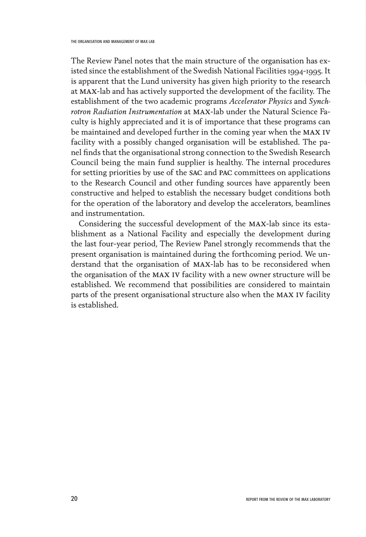The Review Panel notes that the main structure of the organisation has existed since the establishment of the Swedish National Facilities 1994-1995. It is apparent that the Lund university has given high priority to the research at max-lab and has actively supported the development of the facility. The establishment of the two academic programs *Accelerator Physics* and *Synchrotron Radiation Instrumentation* at max-lab under the Natural Science Faculty is highly appreciated and it is of importance that these programs can be maintained and developed further in the coming year when the max iv facility with a possibly changed organisation will be established. The panel finds that the organisational strong connection to the Swedish Research Council being the main fund supplier is healthy. The internal procedures for setting priorities by use of the sac and pac committees on applications to the Research Council and other funding sources have apparently been constructive and helped to establish the necessary budget conditions both for the operation of the laboratory and develop the accelerators, beamlines and instrumentation.

Considering the successful development of the max-lab since its establishment as a National Facility and especially the development during the last four-year period, The Review Panel strongly recommends that the present organisation is maintained during the forthcoming period. We understand that the organisation of max-lab has to be reconsidered when the organisation of the max iv facility with a new owner structure will be established. We recommend that possibilities are considered to maintain parts of the present organisational structure also when the max iv facility is established.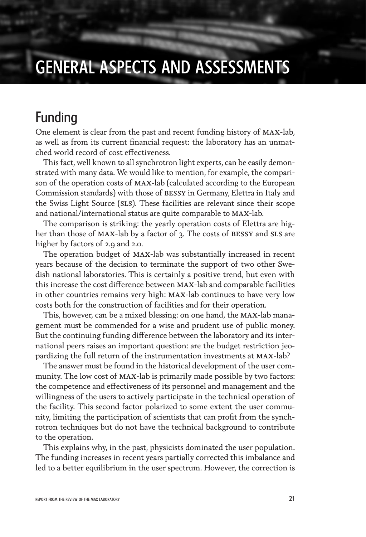## GENERAL ASPECTS AND ASSESSMENTS

### Funding

One element is clear from the past and recent funding history of max-lab, as well as from its current financial request: the laboratory has an unmatched world record of cost effectiveness.

This fact, well known to all synchrotron light experts, can be easily demonstrated with many data. We would like to mention, for example, the comparison of the operation costs of max-lab (calculated according to the European Commission standards) with those of bessy in Germany, Elettra in Italy and the Swiss Light Source (sls). These facilities are relevant since their scope and national/international status are quite comparable to max-lab.

The comparison is striking: the yearly operation costs of Elettra are higher than those of MAX-lab by a factor of 3. The costs of BESSY and SLS are higher by factors of 2.9 and 2.0.

The operation budget of max-lab was substantially increased in recent years because of the decision to terminate the support of two other Swedish national laboratories. This is certainly a positive trend, but even with this increase the cost difference between max-lab and comparable facilities in other countries remains very high: max-lab continues to have very low costs both for the construction of facilities and for their operation.

This, however, can be a mixed blessing: on one hand, the MAX-lab management must be commended for a wise and prudent use of public money. But the continuing funding difference between the laboratory and its international peers raises an important question: are the budget restriction jeopardizing the full return of the instrumentation investments at max-lab?

The answer must be found in the historical development of the user community. The low cost of max-lab is primarily made possible by two factors: the competence and effectiveness of its personnel and management and the willingness of the users to actively participate in the technical operation of the facility. This second factor polarized to some extent the user community, limiting the participation of scientists that can profit from the synchrotron techniques but do not have the technical background to contribute to the operation.

This explains why, in the past, physicists dominated the user population. The funding increases in recent years partially corrected this imbalance and led to a better equilibrium in the user spectrum. However, the correction is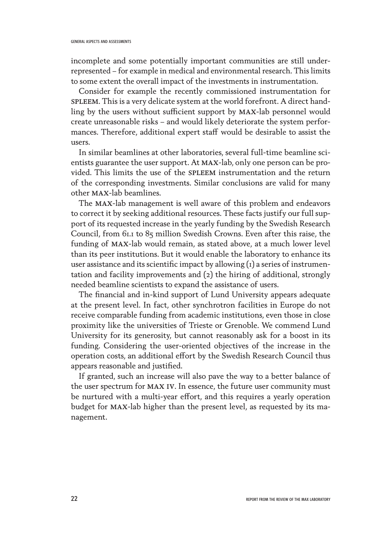incomplete and some potentially important communities are still underrepresented – for example in medical and environmental research. This limits to some extent the overall impact of the investments in instrumentation.

Consider for example the recently commissioned instrumentation for spleem. This is a very delicate system at the world forefront. A direct handling by the users without sufficient support by max-lab personnel would create unreasonable risks – and would likely deteriorate the system performances. Therefore, additional expert staff would be desirable to assist the users.

In similar beamlines at other laboratories, several full-time beamline scientists guarantee the user support. At max-lab, only one person can be provided. This limits the use of the spleem instrumentation and the return of the corresponding investments. Similar conclusions are valid for many other max-lab beamlines.

The max-lab management is well aware of this problem and endeavors to correct it by seeking additional resources. These facts justify our full support of its requested increase in the yearly funding by the Swedish Research Council, from 61.1 to 85 million Swedish Crowns. Even after this raise, the funding of max-lab would remain, as stated above, at a much lower level than its peer institutions. But it would enable the laboratory to enhance its user assistance and its scientific impact by allowing (1) a series of instrumentation and facility improvements and (2) the hiring of additional, strongly needed beamline scientists to expand the assistance of users.

The financial and in-kind support of Lund University appears adequate at the present level. In fact, other synchrotron facilities in Europe do not receive comparable funding from academic institutions, even those in close proximity like the universities of Trieste or Grenoble. We commend Lund University for its generosity, but cannot reasonably ask for a boost in its funding. Considering the user-oriented objectives of the increase in the operation costs, an additional effort by the Swedish Research Council thus appears reasonable and justified.

If granted, such an increase will also pave the way to a better balance of the user spectrum for max iv. In essence, the future user community must be nurtured with a multi-year effort, and this requires a yearly operation budget for max-lab higher than the present level, as requested by its management.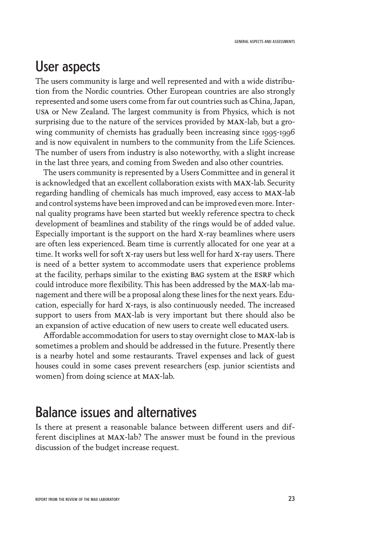### User aspects

The users community is large and well represented and with a wide distribution from the Nordic countries. Other European countries are also strongly represented and some users come from far out countries such as China, Japan, usa or New Zealand. The largest community is from Physics, which is not surprising due to the nature of the services provided by max-lab, but a growing community of chemists has gradually been increasing since 1995-1996 and is now equivalent in numbers to the community from the Life Sciences. The number of users from industry is also noteworthy, with a slight increase in the last three years, and coming from Sweden and also other countries.

The users community is represented by a Users Committee and in general it is acknowledged that an excellent collaboration exists with max-lab. Security regarding handling of chemicals has much improved, easy access to max-lab and control systems have been improved and can be improved even more. Internal quality programs have been started but weekly reference spectra to check development of beamlines and stability of the rings would be of added value. Especially important is the support on the hard x-ray beamlines where users are often less experienced. Beam time is currently allocated for one year at a time. It works well for soft x-ray users but less well for hard x-ray users. There is need of a better system to accommodate users that experience problems at the facility, perhaps similar to the existing BAG system at the ESRF which could introduce more flexibility. This has been addressed by the max-lab management and there will be a proposal along these lines for the next years. Education, especially for hard x-rays, is also continuously needed. The increased support to users from max-lab is very important but there should also be an expansion of active education of new users to create well educated users.

Affordable accommodation for users to stay overnight close to max-lab is sometimes a problem and should be addressed in the future. Presently there is a nearby hotel and some restaurants. Travel expenses and lack of guest houses could in some cases prevent researchers (esp. junior scientists and women) from doing science at max-lab.

### Balance issues and alternatives

Is there at present a reasonable balance between different users and different disciplines at max-lab? The answer must be found in the previous discussion of the budget increase request.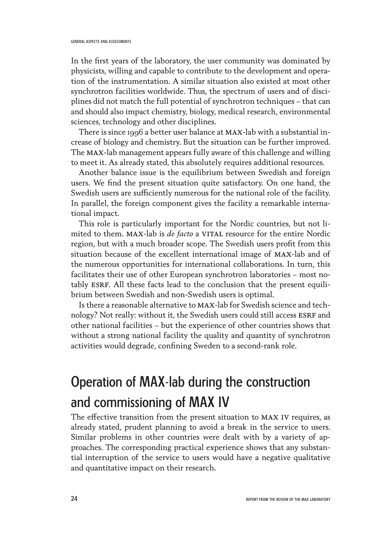In the first years of the laboratory, the user community was dominated by physicists, willing and capable to contribute to the development and operation of the instrumentation. A similar situation also existed at most other synchrotron facilities worldwide. Thus, the spectrum of users and of disciplines did not match the full potential of synchrotron techniques – that can and should also impact chemistry, biology, medical research, environmental sciences, technology and other disciplines.

There is since 1996 a better user balance at MAX-lab with a substantial increase of biology and chemistry. But the situation can be further improved. The max-lab management appears fully aware of this challenge and willing to meet it. As already stated, this absolutely requires additional resources.

Another balance issue is the equilibrium between Swedish and foreign users. We find the present situation quite satisfactory. On one hand, the Swedish users are sufficiently numerous for the national role of the facility. In parallel, the foreign component gives the facility a remarkable international impact.

This role is particularly important for the Nordic countries, but not limited to them. MAX-lab is *de facto* a VITAL resource for the entire Nordic region, but with a much broader scope. The Swedish users profit from this situation because of the excellent international image of max-lab and of the numerous opportunities for international collaborations. In turn, this facilitates their use of other European synchrotron laboratories – most notably ESRF. All these facts lead to the conclusion that the present equilibrium between Swedish and non-Swedish users is optimal.

Is there a reasonable alternative to max-lab for Swedish science and technology? Not really: without it, the Swedish users could still access ESRF and other national facilities – but the experience of other countries shows that without a strong national facility the quality and quantity of synchrotron activities would degrade, confining Sweden to a second-rank role.

### Operation of MAX-lab during the construction and commissioning of MAX IV

The effective transition from the present situation to max iv requires, as already stated, prudent planning to avoid a break in the service to users. Similar problems in other countries were dealt with by a variety of approaches. The corresponding practical experience shows that any substantial interruption of the service to users would have a negative qualitative and quantitative impact on their research.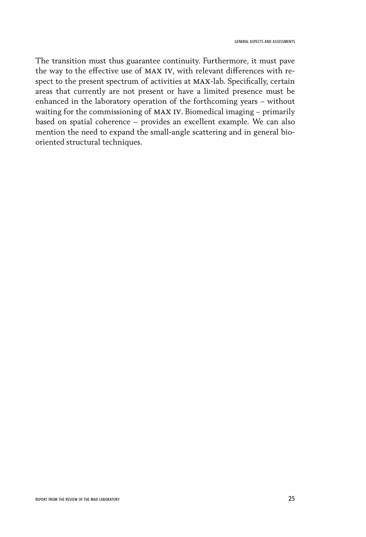The transition must thus guarantee continuity. Furthermore, it must pave the way to the effective use of max iv, with relevant differences with respect to the present spectrum of activities at max-lab. Specifically, certain areas that currently are not present or have a limited presence must be enhanced in the laboratory operation of the forthcoming years – without waiting for the commissioning of max iv. Biomedical imaging – primarily based on spatial coherence – provides an excellent example. We can also mention the need to expand the small-angle scattering and in general biooriented structural techniques.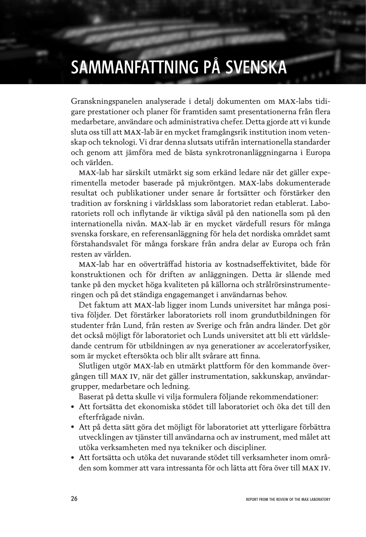## SAMMANFATTNING PÅ SVENSKA

Granskningspanelen analyserade i detalj dokumenten om max-labs tidigare prestationer och planer för framtiden samt presentationerna från flera medarbetare, användare och administrativa chefer. Detta gjorde att vi kunde sluta oss till att max-lab är en mycket framgångsrik institution inom vetenskap och teknologi. Vi drar denna slutsats utifrån internationella standarder och genom att jämföra med de bästa synkrotronanläggningarna i Europa och världen.

max-lab har särskilt utmärkt sig som erkänd ledare när det gäller experimentella metoder baserade på mjukröntgen. max-labs dokumenterade resultat och publikationer under senare år fortsätter och förstärker den tradition av forskning i världsklass som laboratoriet redan etablerat. Laboratoriets roll och inflytande är viktiga såväl på den nationella som på den internationella nivån. max-lab är en mycket värdefull resurs för många svenska forskare, en referensanläggning för hela det nordiska området samt förstahandsvalet för många forskare från andra delar av Europa och från resten av världen.

max-lab har en oöverträffad historia av kostnadseffektivitet, både för konstruktionen och för driften av anläggningen. Detta är slående med tanke på den mycket höga kvaliteten på källorna och strålrörsinstrumenteringen och på det ständiga engagemanget i användarnas behov.

Det faktum att max-lab ligger inom Lunds universitet har många positiva följder. Det förstärker laboratoriets roll inom grundutbildningen för studenter från Lund, från resten av Sverige och från andra länder. Det gör det också möjligt för laboratoriet och Lunds universitet att bli ett världsledande centrum för utbildningen av nya generationer av acceleratorfysiker, som är mycket eftersökta och blir allt svårare att finna.

Slutligen utgör max-lab en utmärkt plattform för den kommande övergången till max iv, när det gäller instrumentation, sakkunskap, användargrupper, medarbetare och ledning.

Baserat på detta skulle vi vilja formulera följande rekommendationer:

- Att fortsätta det ekonomiska stödet till laboratoriet och öka det till den efterfrågade nivån.
- Att på detta sätt göra det möjligt för laboratoriet att ytterligare förbättra utvecklingen av tjänster till användarna och av instrument, med målet att utöka verksamheten med nya tekniker och discipliner.
- Att fortsätta och utöka det nuvarande stödet till verksamheter inom områden som kommer att vara intressanta för och lätta att föra över till max iv.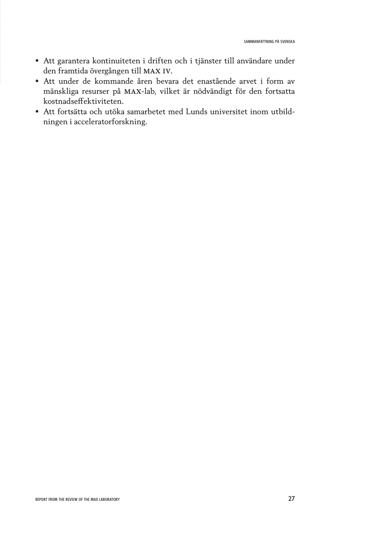- Att garantera kontinuiteten i driften och i tjänster till användare under den framtida övergången till max iv.
- Att under de kommande åren bevara det enastående arvet i form av mänskliga resurser på max-lab, vilket är nödvändigt för den fortsatta kostnadseffektiviteten.
- Att fortsätta och utöka samarbetet med Lunds universitet inom utbildningen i acceleratorforskning.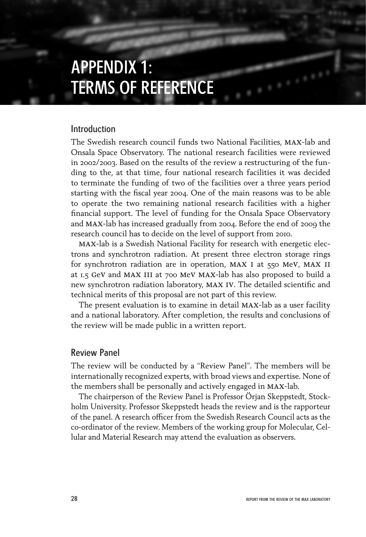### APPENDIX 1: TERMS OF REFERENCE

#### Introduction

The Swedish research council funds two National Facilities, max-lab and Onsala Space Observatory. The national research facilities were reviewed in 2002/2003. Based on the results of the review a restructuring of the funding to the, at that time, four national research facilities it was decided to terminate the funding of two of the facilities over a three years period starting with the fiscal year 2004. One of the main reasons was to be able to operate the two remaining national research facilities with a higher financial support. The level of funding for the Onsala Space Observatory and max-lab has increased gradually from 2004. Before the end of 2009 the research council has to decide on the level of support from 2010.

max-lab is a Swedish National Facility for research with energetic electrons and synchrotron radiation. At present three electron storage rings for synchrotron radiation are in operation, MAX I at 550 MeV, MAX II at 1.5 gev and max iii at 700 mev max-lab has also proposed to build a new synchrotron radiation laboratory, max iv. The detailed scientific and technical merits of this proposal are not part of this review.

The present evaluation is to examine in detail max-lab as a user facility and a national laboratory. After completion, the results and conclusions of the review will be made public in a written report.

#### Review Panel

The review will be conducted by a "Review Panel". The members will be internationally recognized experts, with broad views and expertise. None of the members shall be personally and actively engaged in max-lab.

The chairperson of the Review Panel is Professor Örjan Skeppstedt, Stockholm University. Professor Skeppstedt heads the review and is the rapporteur of the panel. A research officer from the Swedish Research Council acts as the co-ordinator of the review. Members of the working group for Molecular, Cellular and Material Research may attend the evaluation as observers.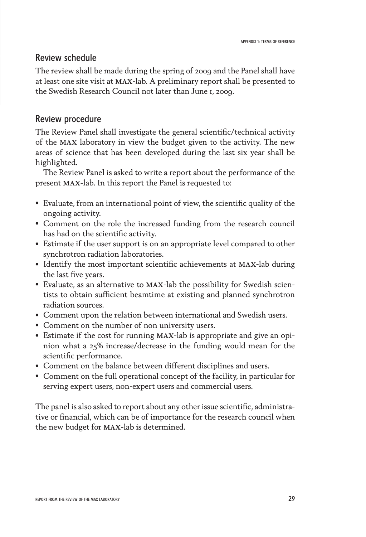#### Review schedule

The review shall be made during the spring of 2009 and the Panel shall have at least one site visit at max-lab. A preliminary report shall be presented to the Swedish Research Council not later than June 1, 2009.

#### Review procedure

The Review Panel shall investigate the general scientific/technical activity of the max laboratory in view the budget given to the activity. The new areas of science that has been developed during the last six year shall be highlighted.

The Review Panel is asked to write a report about the performance of the present max-lab. In this report the Panel is requested to:

- Evaluate, from an international point of view, the scientific quality of the ongoing activity.
- Comment on the role the increased funding from the research council has had on the scientific activity.
- Estimate if the user support is on an appropriate level compared to other synchrotron radiation laboratories.
- Identify the most important scientific achievements at max-lab during the last five years.
- Evaluate, as an alternative to max-lab the possibility for Swedish scientists to obtain sufficient beamtime at existing and planned synchrotron radiation sources.
- Comment upon the relation between international and Swedish users.
- Comment on the number of non university users.
- Estimate if the cost for running max-lab is appropriate and give an opinion what a 25% increase/decrease in the funding would mean for the scientific performance.
- Comment on the balance between different disciplines and users.
- Comment on the full operational concept of the facility, in particular for serving expert users, non-expert users and commercial users.

The panel is also asked to report about any other issue scientific, administrative or financial, which can be of importance for the research council when the new budget for max-lab is determined.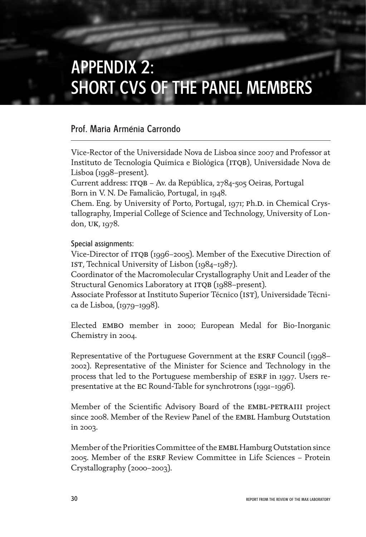## APPENDIX 2: SHORT CVS OF THE PANEL MEMBERS

#### Prof. Maria Arménia Carrondo

Vice-Rector of the Universidade Nova de Lisboa since 2007 and Professor at Instituto de Tecnologia Química e Biológica (ITOB), Universidade Nova de Lisboa (1998–present).

Current address: ITOB – Av. da República, 2784-505 Oeiras, Portugal Born in V. N. De Famalicão, Portugal, in 1948.

Chem. Eng. by University of Porto, Portugal, 1971; Ph.D. in Chemical Crystallography, Imperial College of Science and Technology, University of London, uk, 1978.

#### Special assignments:

Vice-Director of ITQB (1996–2005). Member of the Executive Direction of IST, Technical University of Lisbon (1984-1987).

Coordinator of the Macromolecular Crystallography Unit and Leader of the Structural Genomics Laboratory at ITQB (1988–present).

Associate Professor at Instituto Superior Técnico (IST), Universidade Técnica de Lisboa, (1979–1998).

Elected EMBO member in 2000; European Medal for Bio-Inorganic Chemistry in 2004.

Representative of the Portuguese Government at the ESRF Council (1998– 2002). Representative of the Minister for Science and Technology in the process that led to the Portuguese membership of ESRF in 1997. Users representative at the ec Round-Table for synchrotrons (1991–1996).

Member of the Scientific Advisory Board of the EMBL-PETRAIII project since 2008. Member of the Review Panel of the EMBL Hamburg Outstation in 2003.

Member of the Priorities Committee of the EMBL Hamburg Outstation since 2005. Member of the esrf Review Committee in Life Sciences – Protein Crystallography (2000–2003).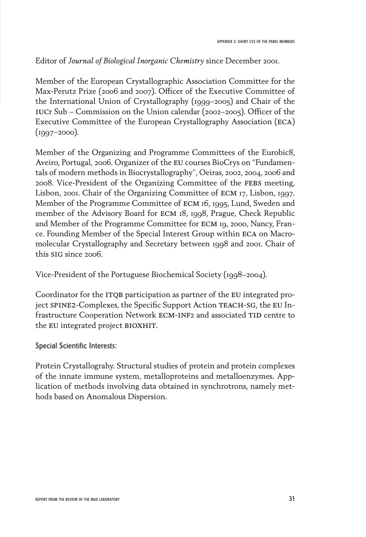#### Editor of *Journal of Biological Inorganic Chemistry* since December 2001.

Member of the European Crystallographic Association Committee for the Max-Perutz Prize (2006 and 2007). Officer of the Executive Committee of the International Union of Crystallography (1999–2005) and Chair of the IUCr Sub – Commission on the Union calendar (2002–2005). Officer of the Executive Committee of the European Crystallography Association (eca)  $(1997 - 2000)$ .

Member of the Organizing and Programme Committees of the Eurobic8, Aveiro, Portugal, 2006. Organizer of the EU courses BioCrys on "Fundamentals of modern methods in Biocrystallography", Oeiras, 2002, 2004, 2006 and 2008. Vice-President of the Organizing Committee of the febs meeting, Lisbon, 2001. Chair of the Organizing Committee of ecm 17, Lisbon, 1997. Member of the Programme Committee of ecm 16, 1995, Lund, Sweden and member of the Advisory Board for ECM 18, 1998, Prague, Check Republic and Member of the Programme Committee for ecm 19, 2000, Nancy, France. Founding Member of the Special Interest Group within eca on Macromolecular Crystallography and Secretary between 1998 and 2001. Chair of this SIG since 2006.

Vice-President of the Portuguese Biochemical Society (1998–2004).

Coordinator for the ITOB participation as partner of the EU integrated project SPINE2-Complexes, the Specific Support Action TEACH-SG, the EU Infrastructure Cooperation Network ECM-INF2 and associated TID centre to the EU integrated project BIOXHIT.

Special Scientific Interests:

Protein Crystallograhy. Structural studies of protein and protein complexes of the innate immune system, metalloproteins and metalloenzymes. Application of methods involving data obtained in synchrotrons, namely methods based on Anomalous Dispersion.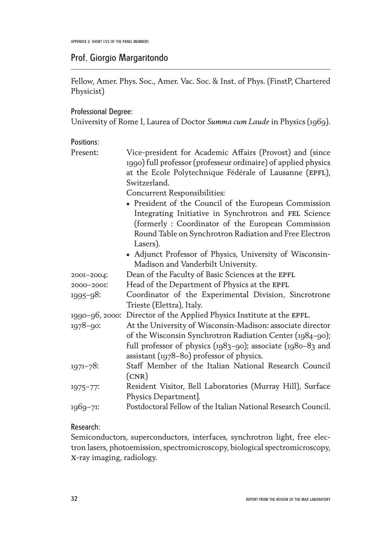#### Prof. Giorgio Margaritondo

Fellow, Amer. Phys. Soc., Amer. Vac. Soc. & Inst. of Phys. (FinstP, Chartered Physicist)

#### Professional Degree:

University of Rome I, Laurea of Doctor *Summa cum Laude* in Physics (1969).

#### Positions:

| Present:       | Vice-president for Academic Affairs (Provost) and (since                                                                                                            |
|----------------|---------------------------------------------------------------------------------------------------------------------------------------------------------------------|
|                | 1990) full professor (professeur ordinaire) of applied physics                                                                                                      |
|                | at the Ecole Polytechnique Fédérale of Lausanne (EPFL),                                                                                                             |
|                | Switzerland.                                                                                                                                                        |
|                | <b>Concurrent Responsibilities:</b>                                                                                                                                 |
|                | • President of the Council of the European Commission<br>Integrating Initiative in Synchrotron and FEL Science<br>(formerly: Coordinator of the European Commission |
|                | Round Table on Synchrotron Radiation and Free Electron<br>Lasers).                                                                                                  |
|                | • Adjunct Professor of Physics, University of Wisconsin-                                                                                                            |
|                | Madison and Vanderbilt University.                                                                                                                                  |
| 2001-2004:     | Dean of the Faculty of Basic Sciences at the EPFL                                                                                                                   |
| 2000-2001:     | Head of the Department of Physics at the EPFL                                                                                                                       |
| $1995 - 98$ :  | Coordinator of the Experimental Division, Sincrotrone                                                                                                               |
|                | Trieste (Elettra), Italy.                                                                                                                                           |
| 1990-96, 2000: | Director of the Applied Physics Institute at the EPFL.                                                                                                              |
| $1978 - 90$ :  | At the University of Wisconsin-Madison: associate director                                                                                                          |
|                | of the Wisconsin Synchrotron Radiation Center (1984-90);                                                                                                            |
|                | full professor of physics (1983-90); associate (1980-83 and                                                                                                         |
|                | assistant (1978-80) professor of physics.                                                                                                                           |
| $1971 - 78$    | Staff Member of the Italian National Research Council                                                                                                               |
|                | (CNR)                                                                                                                                                               |
| $1975 - 77$    | Resident Visitor, Bell Laboratories (Murray Hill), Surface                                                                                                          |
|                | Physics Department].                                                                                                                                                |
| 1969-71:       | Postdoctoral Fellow of the Italian National Research Council.                                                                                                       |

#### Research:

Semiconductors, superconductors, interfaces, synchrotron light, free electron lasers, photoemission, spectromicroscopy, biological spectromicroscopy, x-ray imaging, radiology.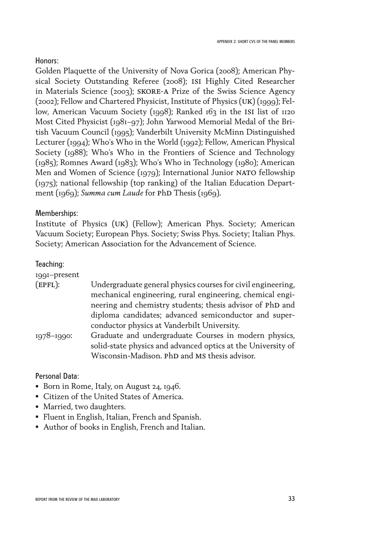#### Honors:

Golden Plaquette of the University of Nova Gorica (2008); American Physical Society Outstanding Referee (2008); isi Highly Cited Researcher in Materials Science (2003); skore-a Prize of the Swiss Science Agency (2002); Fellow and Chartered Physicist, Institute of Physics (uk) (1999); Fellow, American Vacuum Society (1998); Ranked 163 in the ISI list of 1120 Most Cited Physicist (1981–97); John Yarwood Memorial Medal of the British Vacuum Council (1995); Vanderbilt University McMinn Distinguished Lecturer (1994); Who's Who in the World (1992); Fellow, American Physical Society (1988); Who's Who in the Frontiers of Science and Technology (1985); Romnes Award (1983); Who's Who in Technology (1980); American Men and Women of Science (1979); International Junior NATO fellowship (1975); national fellowship (top ranking) of the Italian Education Department (1969); *Summa cum Laude* for PhD Thesis (1969).

#### Memberships:

Institute of Physics (uk) (Fellow); American Phys. Society; American Vacuum Society; European Phys. Society; Swiss Phys. Society; Italian Phys. Society; American Association for the Advancement of Science.

#### Teaching:

| 1991-present  |                                                              |
|---------------|--------------------------------------------------------------|
| (EPFL):       | Undergraduate general physics courses for civil engineering, |
|               | mechanical engineering, rural engineering, chemical engi-    |
|               | neering and chemistry students; thesis advisor of PhD and    |
|               | diploma candidates; advanced semiconductor and super-        |
|               | conductor physics at Vanderbilt University.                  |
| $1978 - 1990$ | Graduate and undergraduate Courses in modern physics,        |
|               | solid-state physics and advanced optics at the University of |
|               | Wisconsin-Madison. PhD and MS thesis advisor.                |

#### Personal Data:

- Born in Rome, Italy, on August 24, 1946.
- Citizen of the United States of America.
- Married, two daughters.
- Fluent in English, Italian, French and Spanish.
- Author of books in English, French and Italian.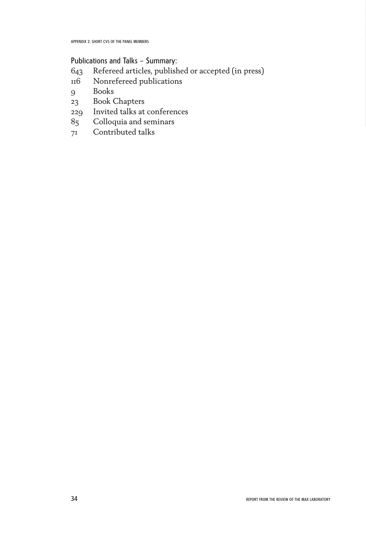Publications and Talks – Summary:

- Refereed articles, published or accepted (in press)
- Nonrefereed publications
- Books
- Book Chapters
- Invited talks at conferences
- Colloquia and seminars
- Contributed talks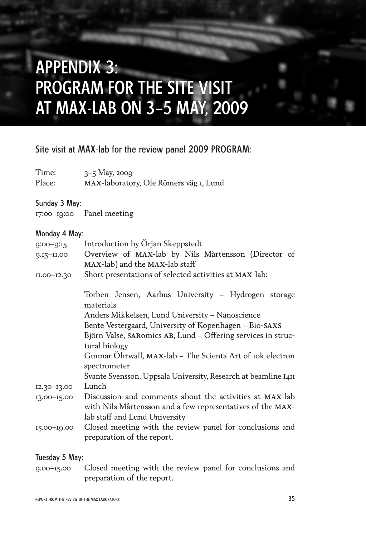## APPENDIX 3: PROGRAM FOR THE SITE VISIT AT MAX-LAB ON 3–5 MAY, 2009

#### Site visit at MAX-lab for the review panel 2009 PROGRAM:

Time: 3–5 May, 2009 Place: max-laboratory, Ole Römers väg 1, Lund

#### Sunday 3 May:

17:00–19:00 Panel meeting

#### Monday 4 May:

| $9:00 - 9:15$   | Introduction by Örjan Skeppstedt                                                       |
|-----------------|----------------------------------------------------------------------------------------|
| 9.15-11.00      | Overview of MAX-lab by Nils Mårtensson (Director of                                    |
|                 | MAX-lab) and the MAX-lab staff                                                         |
| $II.00 - I2.30$ | Short presentations of selected activities at MAX-lab:                                 |
|                 | Torben Jensen, Aarhus University - Hydrogen storage<br>materials                       |
|                 | Anders Mikkelsen, Lund University - Nanoscience                                        |
|                 | Bente Vestergaard, University of Kopenhagen - Bio-SAXS                                 |
|                 | Björn Valse, SARomics AB, Lund - Offering services in struc-                           |
|                 | tural biology                                                                          |
|                 | Gunnar Öhrwall, MAX-lab - The Scienta Art of 10k electron                              |
|                 | spectrometer                                                                           |
|                 | Svante Svensson, Uppsala University, Research at beamline I4II                         |
| $12.30 - 13.00$ | Lunch                                                                                  |
| $13.00 - 15.00$ | Discussion and comments about the activities at MAX-lab                                |
|                 | with Nils Mårtensson and a few representatives of the MAX-                             |
|                 | lab staff and Lund University                                                          |
| 15.00-19.00     | Closed meeting with the review panel for conclusions and<br>preparation of the report. |
|                 |                                                                                        |

#### Tuesday 5 May:

9.00–15.00 Closed meeting with the review panel for conclusions and preparation of the report.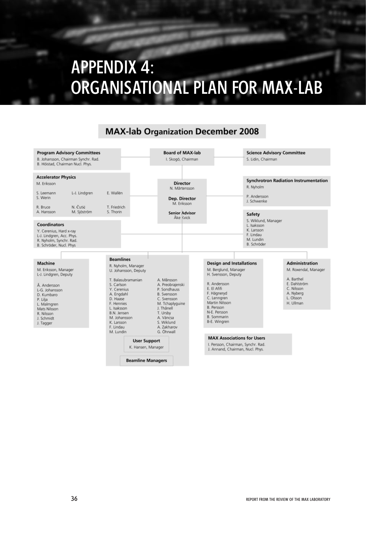## APPENDIX 4: ORGANISATIONAL PLAN FOR MAX-LAB

#### **MAX-lab Organization December 2008**